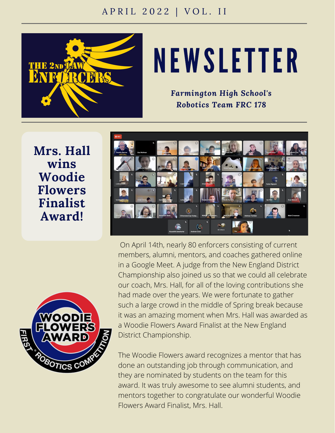

## NEWSLETTER

*Farmington High School's Robotics Team FRC 178*

**Mrs. Hall wins Woodie Flowers Finalist Award!**





On April 14th, nearly 80 enforcers consisting of current members, alumni, mentors, and coaches gathered online in a Google Meet. A judge from the New England District Championship also joined us so that we could all celebrate our coach, Mrs. Hall, for all of the loving contributions she had made over the years. We were fortunate to gather such a large crowd in the middle of Spring break because it was an amazing moment when Mrs. Hall was awarded as a Woodie Flowers Award Finalist at the New England District Championship.

The Woodie Flowers award recognizes a mentor that has done an outstanding job through communication, and they are nominated by students on the team for this award. It was truly awesome to see alumni students, and mentors together to congratulate our wonderful Woodie Flowers Award Finalist, Mrs. Hall.